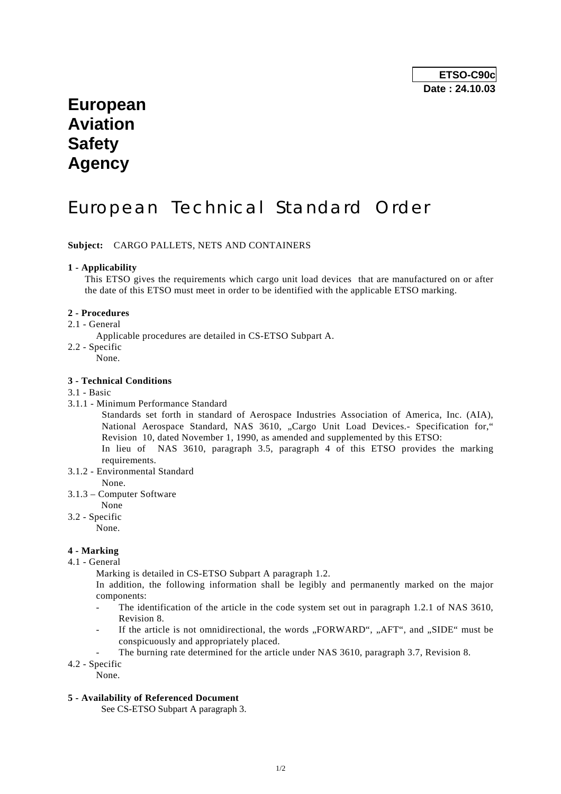## **European Aviation Safety Agency**

# European Technical Standard Order

#### **Subject:** CARGO PALLETS, NETS AND CONTAINERS

#### **1 - Applicability**

 This ETSO gives the requirements which cargo unit load devices that are manufactured on or after the date of this ETSO must meet in order to be identified with the applicable ETSO marking.

#### **2 - Procedures**

- 2.1 General
	- Applicable procedures are detailed in CS-ETSO Subpart A.
- 2.2 Specific
	- None.

#### **3 - Technical Conditions**

#### 3.1 - Basic

3.1.1 - Minimum Performance Standard

 Standards set forth in standard of Aerospace Industries Association of America, Inc. (AIA), National Aerospace Standard, NAS 3610, "Cargo Unit Load Devices.- Specification for," Revision 10, dated November 1, 1990, as amended and supplemented by this ETSO:

 In lieu of NAS 3610, paragraph 3.5, paragraph 4 of this ETSO provides the marking requirements.

- 3.1.2 Environmental Standard None.
- 3.1.3 Computer Software
- None
- 3.2 Specific
	- None.

### **4 - Marking**

4.1 - General

Marking is detailed in CS-ETSO Subpart A paragraph 1.2.

 In addition, the following information shall be legibly and permanently marked on the major components:

- The identification of the article in the code system set out in paragraph 1.2.1 of NAS 3610, Revision 8.
- If the article is not omnidirectional, the words "FORWARD", "AFT", and "SIDE" must be conspicuously and appropriately placed.
- The burning rate determined for the article under NAS 3610, paragraph 3.7, Revision 8.
- 4.2 Specific None.

#### **5 - Availability of Referenced Document**

See CS-ETSO Subpart A paragraph 3.